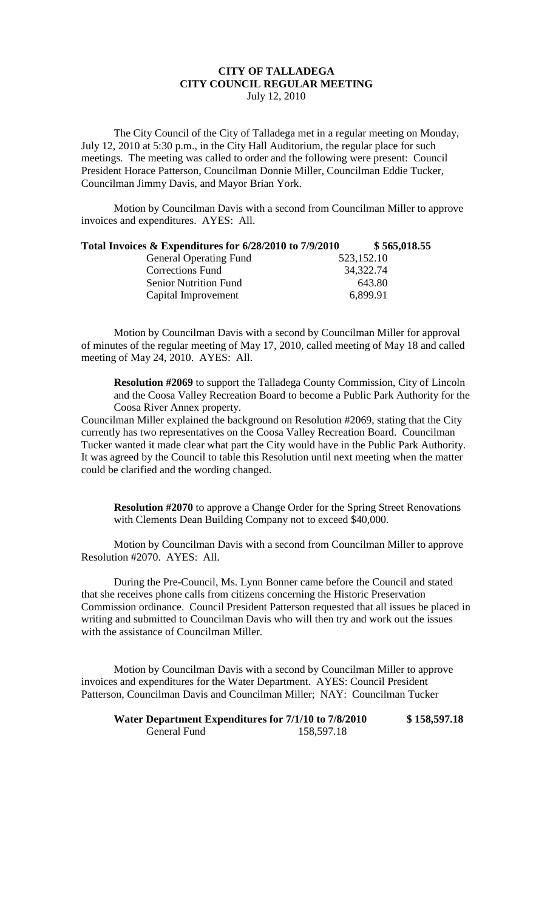## **CITY OF TALLADEGA CITY COUNCIL REGULAR MEETING** July 12, 2010

The City Council of the City of Talladega met in a regular meeting on Monday, July 12, 2010 at 5:30 p.m., in the City Hall Auditorium, the regular place for such meetings. The meeting was called to order and the following were present: Council President Horace Patterson, Councilman Donnie Miller, Councilman Eddie Tucker, Councilman Jimmy Davis, and Mayor Brian York.

Motion by Councilman Davis with a second from Councilman Miller to approve invoices and expenditures. AYES: All.

| Total Invoices & Expenditures for 6/28/2010 to 7/9/2010 |            | \$565,018.55 |
|---------------------------------------------------------|------------|--------------|
| <b>General Operating Fund</b>                           | 523,152.10 |              |
| <b>Corrections Fund</b>                                 | 34,322.74  |              |
| <b>Senior Nutrition Fund</b>                            |            | 643.80       |
| Capital Improvement                                     | 6,899.91   |              |

Motion by Councilman Davis with a second by Councilman Miller for approval of minutes of the regular meeting of May 17, 2010, called meeting of May 18 and called meeting of May 24, 2010. AYES: All.

**Resolution #2069** to support the Talladega County Commission, City of Lincoln and the Coosa Valley Recreation Board to become a Public Park Authority for the Coosa River Annex property.

Councilman Miller explained the background on Resolution #2069, stating that the City currently has two representatives on the Coosa Valley Recreation Board. Councilman Tucker wanted it made clear what part the City would have in the Public Park Authority. It was agreed by the Council to table this Resolution until next meeting when the matter could be clarified and the wording changed.

**Resolution #2070** to approve a Change Order for the Spring Street Renovations with Clements Dean Building Company not to exceed \$40,000.

Motion by Councilman Davis with a second from Councilman Miller to approve Resolution #2070. AYES: All.

During the Pre-Council, Ms. Lynn Bonner came before the Council and stated that she receives phone calls from citizens concerning the Historic Preservation Commission ordinance. Council President Patterson requested that all issues be placed in writing and submitted to Councilman Davis who will then try and work out the issues with the assistance of Councilman Miller.

Motion by Councilman Davis with a second by Councilman Miller to approve invoices and expenditures for the Water Department. AYES: Council President Patterson, Councilman Davis and Councilman Miller; NAY: Councilman Tucker

**Water Department Expenditures for 7/1/10 to 7/8/2010 \$ 158,597.18** General Fund 158,597.18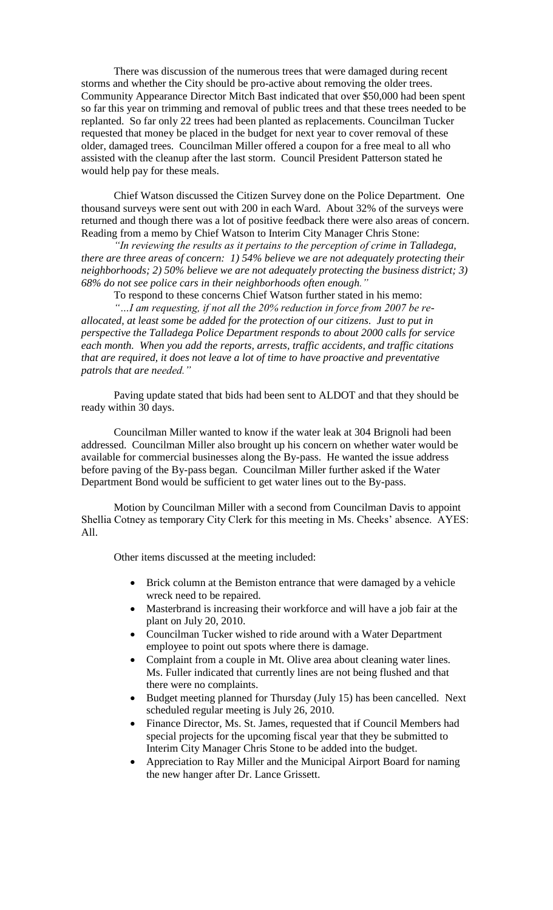There was discussion of the numerous trees that were damaged during recent storms and whether the City should be pro-active about removing the older trees. Community Appearance Director Mitch Bast indicated that over \$50,000 had been spent so far this year on trimming and removal of public trees and that these trees needed to be replanted. So far only 22 trees had been planted as replacements. Councilman Tucker requested that money be placed in the budget for next year to cover removal of these older, damaged trees. Councilman Miller offered a coupon for a free meal to all who assisted with the cleanup after the last storm. Council President Patterson stated he would help pay for these meals.

Chief Watson discussed the Citizen Survey done on the Police Department. One thousand surveys were sent out with 200 in each Ward. About 32% of the surveys were returned and though there was a lot of positive feedback there were also areas of concern. Reading from a memo by Chief Watson to Interim City Manager Chris Stone:

*"In reviewing the results as it pertains to the perception of crime in Talladega, there are three areas of concern: 1) 54% believe we are not adequately protecting their neighborhoods; 2) 50% believe we are not adequately protecting the business district; 3) 68% do not see police cars in their neighborhoods often enough."*

To respond to these concerns Chief Watson further stated in his memo: *"…I am requesting, if not all the 20% reduction in force from 2007 be reallocated, at least some be added for the protection of our citizens. Just to put in perspective the Talladega Police Department responds to about 2000 calls for service each month. When you add the reports, arrests, traffic accidents, and traffic citations that are required, it does not leave a lot of time to have proactive and preventative patrols that are needed."*

Paving update stated that bids had been sent to ALDOT and that they should be ready within 30 days.

Councilman Miller wanted to know if the water leak at 304 Brignoli had been addressed. Councilman Miller also brought up his concern on whether water would be available for commercial businesses along the By-pass. He wanted the issue address before paving of the By-pass began. Councilman Miller further asked if the Water Department Bond would be sufficient to get water lines out to the By-pass.

Motion by Councilman Miller with a second from Councilman Davis to appoint Shellia Cotney as temporary City Clerk for this meeting in Ms. Cheeks' absence. AYES: All.

Other items discussed at the meeting included:

- Brick column at the Bemiston entrance that were damaged by a vehicle wreck need to be repaired.
- Masterbrand is increasing their workforce and will have a job fair at the plant on July 20, 2010.
- Councilman Tucker wished to ride around with a Water Department employee to point out spots where there is damage.
- Complaint from a couple in Mt. Olive area about cleaning water lines. Ms. Fuller indicated that currently lines are not being flushed and that there were no complaints.
- Budget meeting planned for Thursday (July 15) has been cancelled. Next scheduled regular meeting is July 26, 2010.
- Finance Director, Ms. St. James, requested that if Council Members had special projects for the upcoming fiscal year that they be submitted to Interim City Manager Chris Stone to be added into the budget.
- Appreciation to Ray Miller and the Municipal Airport Board for naming the new hanger after Dr. Lance Grissett.